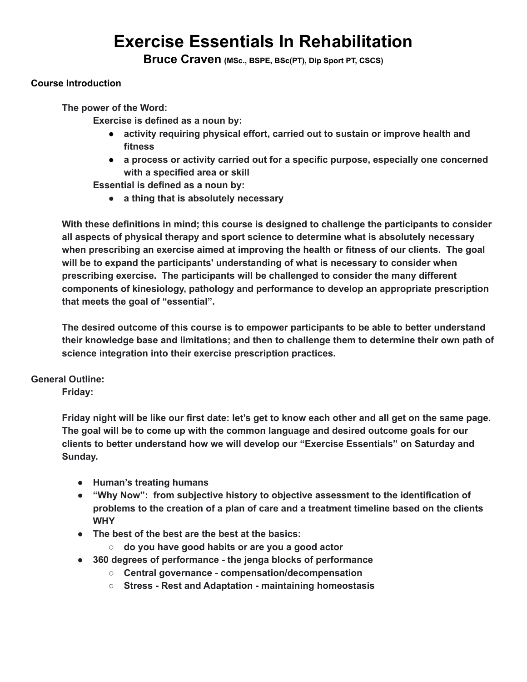# **Exercise Essentials In Rehabilitation**

**Bruce Craven (MSc., BSPE, BSc(PT), Dip Sport PT, CSCS)**

# **Course Introduction**

**The power of the Word:**

**Exercise is defined as a noun by:**

- **● activity requiring physical effort, carried out to sustain or improve health and fitness**
- **● a process or activity carried out for a specific purpose, especially one concerned with a specified area or skill**

**Essential is defined as a noun by:**

**● a thing that is absolutely necessary**

**With these definitions in mind; this course is designed to challenge the participants to consider all aspects of physical therapy and sport science to determine what is absolutely necessary when prescribing an exercise aimed at improving the health or fitness of our clients. The goal will be to expand the participants' understanding of what is necessary to consider when prescribing exercise. The participants will be challenged to consider the many different components of kinesiology, pathology and performance to develop an appropriate prescription that meets the goal of "essential".**

**The desired outcome of this course is to empower participants to be able to better understand their knowledge base and limitations; and then to challenge them to determine their own path of science integration into their exercise prescription practices.**

### **General Outline:**

**Friday:**

Friday night will be like our first date: let's get to know each other and all get on the same page. **The goal will be to come up with the common language and desired outcome goals for our clients to better understand how we will develop our "Exercise Essentials" on Saturday and Sunday.**

- **● Human's treating humans**
- **● "Why Now": from subjective history to objective assessment to the identification of problems to the creation of a plan of care and a treatment timeline based on the clients WHY**
- **● The best of the best are the best at the basics:**
	- **○ do you have good habits or are you a good actor**
- **● 360 degrees of performance - the jenga blocks of performance**
	- **○ Central governance - compensation/decompensation**
	- **○ Stress - Rest and Adaptation - maintaining homeostasis**